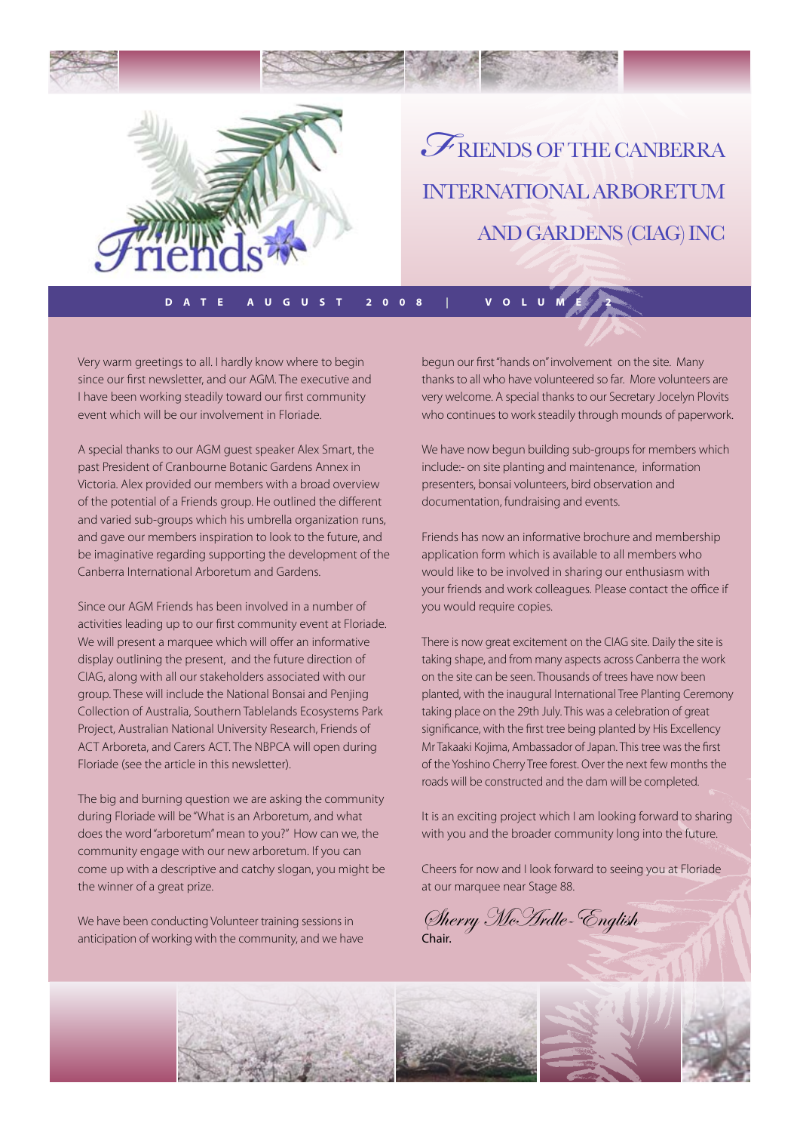

riends of the canberra international arboretum and gardens (CIAG) Inc *F*

**Date august 2008 | Volume 2**

Very warm greetings to all. I hardly know where to begin since our first newsletter, and our AGM. The executive and I have been working steadily toward our first community event which will be our involvement in Floriade.

A special thanks to our AGM guest speaker Alex Smart, the past President of Cranbourne Botanic Gardens Annex in Victoria. Alex provided our members with a broad overview of the potential of a Friends group. He outlined the different and varied sub-groups which his umbrella organization runs, and gave our members inspiration to look to the future, and be imaginative regarding supporting the development of the Canberra International Arboretum and Gardens.

Since our AGM Friends has been involved in a number of activities leading up to our first community event at Floriade. We will present a marquee which will offer an informative display outlining the present, and the future direction of CIAG, along with all our stakeholders associated with our group. These will include the National Bonsai and Penjing Collection of Australia, Southern Tablelands Ecosystems Park Project, Australian National University Research, Friends of ACT Arboreta, and Carers ACT. The NBPCA will open during Floriade (see the article in this newsletter).

The big and burning question we are asking the community during Floriade will be "What is an Arboretum, and what does the word "arboretum" mean to you?" How can we, the community engage with our new arboretum. If you can come up with a descriptive and catchy slogan, you might be the winner of a great prize.

We have been conducting Volunteer training sessions in anticipation of working with the community, and we have begun our first "hands on" involvement on the site. Many thanks to all who have volunteered so far. More volunteers are very welcome. A special thanks to our Secretary Jocelyn Plovits who continues to work steadily through mounds of paperwork.

We have now begun building sub-groups for members which include:- on site planting and maintenance, information presenters, bonsai volunteers, bird observation and documentation, fundraising and events.

Friends has now an informative brochure and membership application form which is available to all members who would like to be involved in sharing our enthusiasm with your friends and work colleagues. Please contact the office if you would require copies.

There is now great excitement on the CIAG site. Daily the site is taking shape, and from many aspects across Canberra the work on the site can be seen. Thousands of trees have now been planted, with the inaugural International Tree Planting Ceremony taking place on the 29th July. This was a celebration of great significance, with the first tree being planted by His Excellency Mr Takaaki Kojima, Ambassador of Japan. This tree was the first of the Yoshino Cherry Tree forest. Over the next few months the roads will be constructed and the dam will be completed.

It is an exciting project which I am looking forward to sharing with you and the broader community long into the future.

Cheers for now and I look forward to seeing you at Floriade at our marquee near Stage 88.

Sherry McArdle-English Chair.



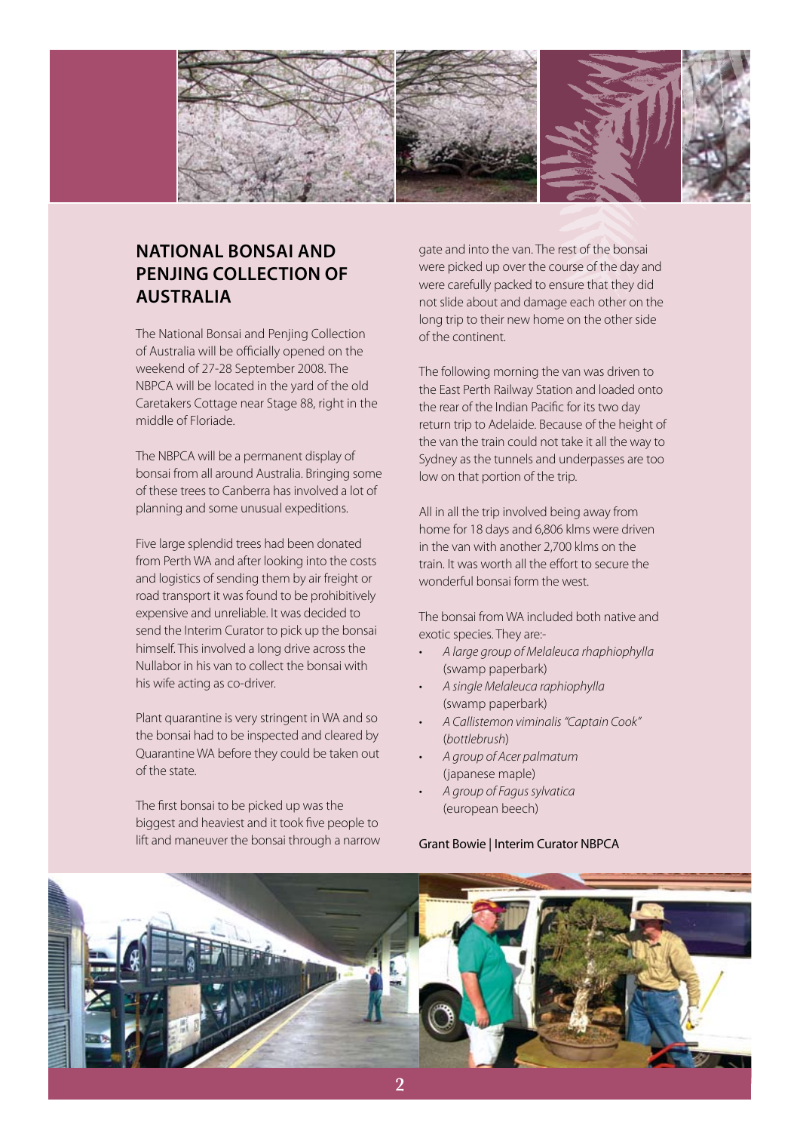

# **National Bonsai and Penjing Collection of Australia**

The National Bonsai and Penjing Collection of Australia will be officially opened on the weekend of 27-28 September 2008. The NBPCA will be located in the yard of the old Caretakers Cottage near Stage 88, right in the middle of Floriade.

The NBPCA will be a permanent display of bonsai from all around Australia. Bringing some of these trees to Canberra has involved a lot of planning and some unusual expeditions.

Five large splendid trees had been donated from Perth WA and after looking into the costs and logistics of sending them by air freight or road transport it was found to be prohibitively expensive and unreliable. It was decided to send the Interim Curator to pick up the bonsai himself. This involved a long drive across the Nullabor in his van to collect the bonsai with his wife acting as co-driver.

Plant quarantine is very stringent in WA and so the bonsai had to be inspected and cleared by Quarantine WA before they could be taken out of the state.

The first bonsai to be picked up was the biggest and heaviest and it took five people to lift and maneuver the bonsai through a narrow gate and into the van. The rest of the bonsai were picked up over the course of the day and were carefully packed to ensure that they did not slide about and damage each other on the long trip to their new home on the other side of the continent.

The following morning the van was driven to the East Perth Railway Station and loaded onto the rear of the Indian Pacific for its two day return trip to Adelaide. Because of the height of the van the train could not take it all the way to Sydney as the tunnels and underpasses are too low on that portion of the trip.

All in all the trip involved being away from home for 18 days and 6,806 klms were driven in the van with another 2,700 klms on the train. It was worth all the effort to secure the wonderful bonsai form the west.

The bonsai from WA included both native and exotic species. They are:-

- • *A large group of Melaleuca rhaphiophylla* (swamp paperbark)
- • *A single Melaleuca raphiophylla* (swamp paperbark)
- • *A Callistemon viminalis "Captain Cook"*  (*bottlebrush*)
- • *A group of Acer palmatum*  (japanese maple)
- • *A group of Fagus sylvatica* (european beech)

Grant Bowie | Interim Curator NBPCA

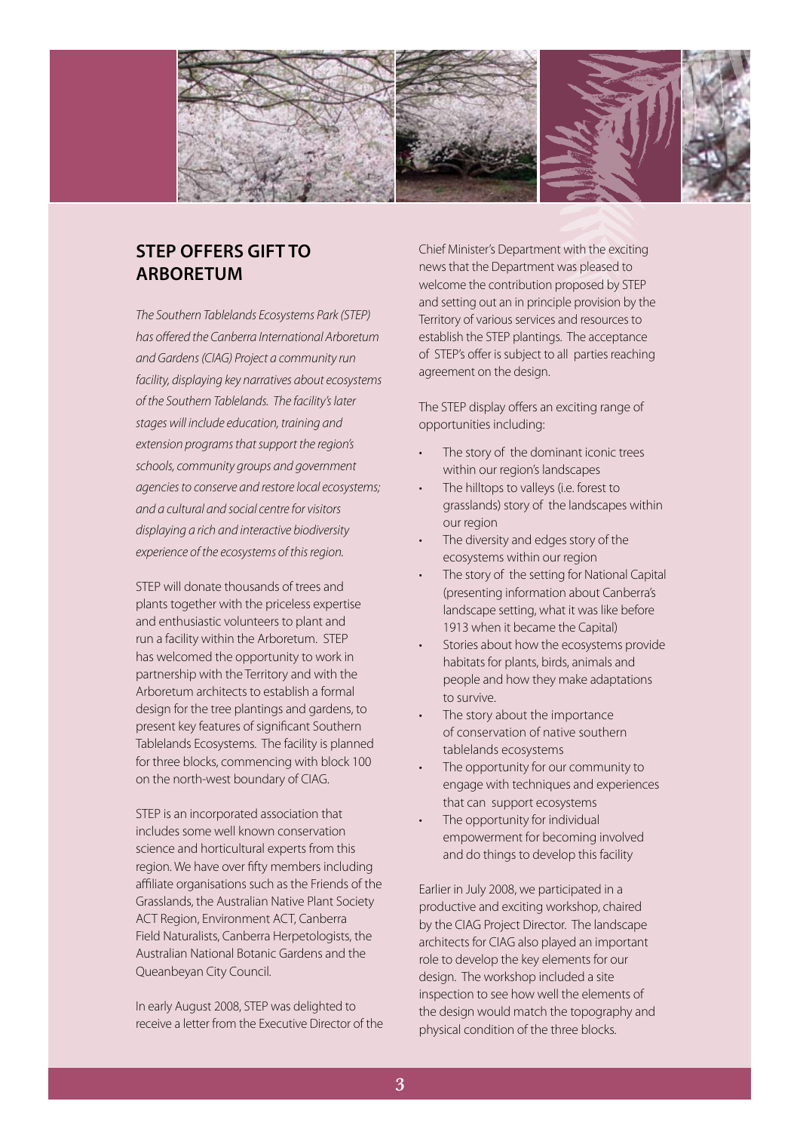

## **STEP offers gift to Arboretum**

*The Southern Tablelands Ecosystems Park (STEP) has offered the Canberra International Arboretum and Gardens (CIAG) Project a community run facility, displaying key narratives about ecosystems of the Southern Tablelands. The facility's later stages will include education, training and extension programs that support the region's schools, community groups and government agencies to conserve and restore local ecosystems; and a cultural and social centre for visitors displaying a rich and interactive biodiversity experience of the ecosystems of this region.*

STEP will donate thousands of trees and plants together with the priceless expertise and enthusiastic volunteers to plant and run a facility within the Arboretum. STEP has welcomed the opportunity to work in partnership with the Territory and with the Arboretum architects to establish a formal design for the tree plantings and gardens, to present key features of significant Southern Tablelands Ecosystems. The facility is planned for three blocks, commencing with block 100 on the north-west boundary of CIAG.

STEP is an incorporated association that includes some well known conservation science and horticultural experts from this region. We have over fifty members including affiliate organisations such as the Friends of the Grasslands, the Australian Native Plant Society ACT Region, Environment ACT, Canberra Field Naturalists, Canberra Herpetologists, the Australian National Botanic Gardens and the Queanbeyan City Council.

In early August 2008, STEP was delighted to receive a letter from the Executive Director of the Chief Minister's Department with the exciting news that the Department was pleased to welcome the contribution proposed by STEP and setting out an in principle provision by the Territory of various services and resources to establish the STEP plantings. The acceptance of STEP's offer is subject to all parties reaching agreement on the design.

The STEP display offers an exciting range of opportunities including:

- The story of the dominant iconic trees within our region's landscapes
- The hilltops to valleys (i.e. forest to grasslands) story of the landscapes within our region
- The diversity and edges story of the ecosystems within our region
- The story of the setting for National Capital (presenting information about Canberra's landscape setting, what it was like before 1913 when it became the Capital)
- Stories about how the ecosystems provide habitats for plants, birds, animals and people and how they make adaptations to survive.
- The story about the importance of conservation of native southern tablelands ecosystems
- The opportunity for our community to engage with techniques and experiences that can support ecosystems
- The opportunity for individual empowerment for becoming involved and do things to develop this facility

Earlier in July 2008, we participated in a productive and exciting workshop, chaired by the CIAG Project Director. The landscape architects for CIAG also played an important role to develop the key elements for our design. The workshop included a site inspection to see how well the elements of the design would match the topography and physical condition of the three blocks.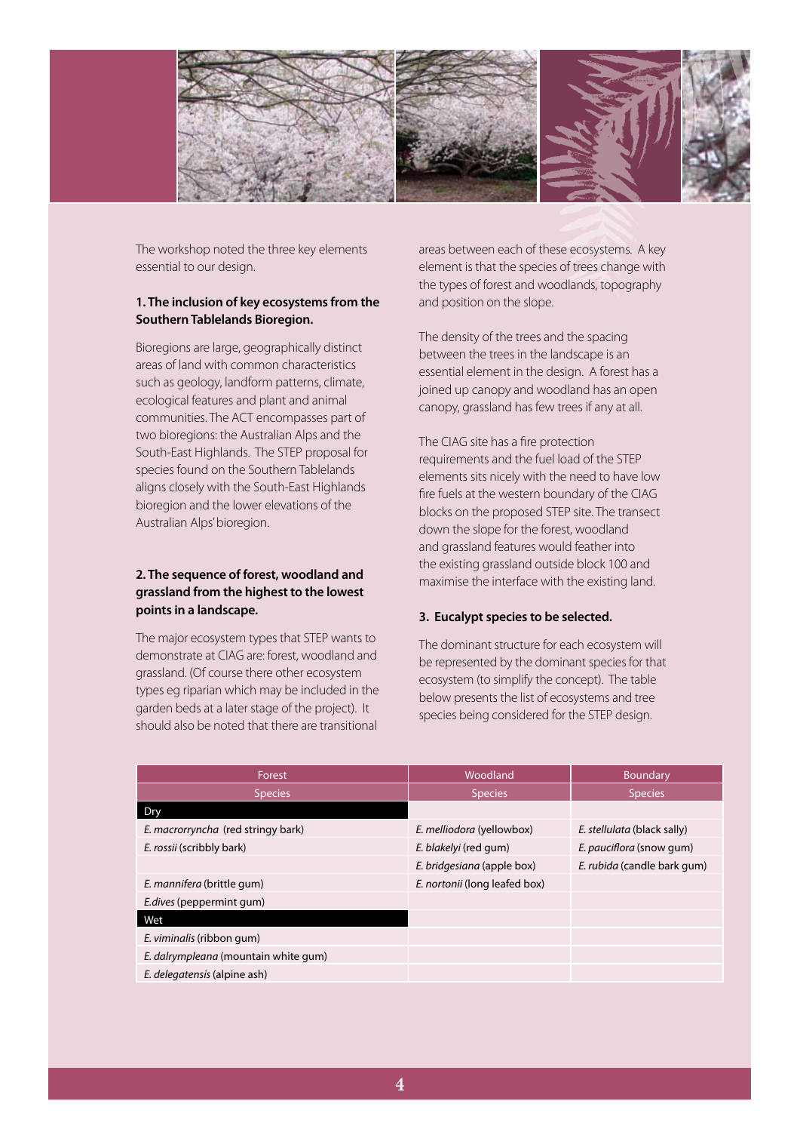

The workshop noted the three key elements essential to our design.

### **1. The inclusion of key ecosystems from the Southern Tablelands Bioregion.**

Bioregions are large, geographically distinct areas of land with common characteristics such as geology, landform patterns, climate, ecological features and plant and animal communities. The ACT encompasses part of two bioregions: the Australian Alps and the South-East Highlands. The STEP proposal for species found on the Southern Tablelands aligns closely with the South-East Highlands bioregion and the lower elevations of the Australian Alps' bioregion.

### **2. The sequence of forest, woodland and grassland from the highest to the lowest points in a landscape.**

The major ecosystem types that STEP wants to demonstrate at CIAG are: forest, woodland and grassland. (Of course there other ecosystem types eg riparian which may be included in the garden beds at a later stage of the project). It should also be noted that there are transitional

areas between each of these ecosystems. A key element is that the species of trees change with the types of forest and woodlands, topography and position on the slope.

The density of the trees and the spacing between the trees in the landscape is an essential element in the design. A forest has a joined up canopy and woodland has an open canopy, grassland has few trees if any at all.

The CIAG site has a fire protection requirements and the fuel load of the STEP elements sits nicely with the need to have low fire fuels at the western boundary of the CIAG blocks on the proposed STEP site. The transect down the slope for the forest, woodland and grassland features would feather into the existing grassland outside block 100 and maximise the interface with the existing land.

### **3. Eucalypt species to be selected.**

The dominant structure for each ecosystem will be represented by the dominant species for that ecosystem (to simplify the concept). The table below presents the list of ecosystems and tree species being considered for the STEP design.

| Forest                               | Woodland                      | Boundary                    |
|--------------------------------------|-------------------------------|-----------------------------|
| <b>Species</b>                       | <b>Species</b>                | <b>Species</b>              |
| Dry                                  |                               |                             |
| E. macrorryncha (red stringy bark)   | E. melliodora (yellowbox)     | E. stellulata (black sally) |
| E. rossii (scribbly bark)            | E. blakelyi (red gum)         | E. pauciflora (snow gum)    |
|                                      | E. bridgesiana (apple box)    | E. rubida (candle bark gum) |
| E. mannifera (brittle gum)           | E. nortonii (long leafed box) |                             |
| <i>E.dives</i> (peppermint gum)      |                               |                             |
| Wet                                  |                               |                             |
| E. viminalis (ribbon gum)            |                               |                             |
| E. dalrympleana (mountain white gum) |                               |                             |
| E. delegatensis (alpine ash)         |                               |                             |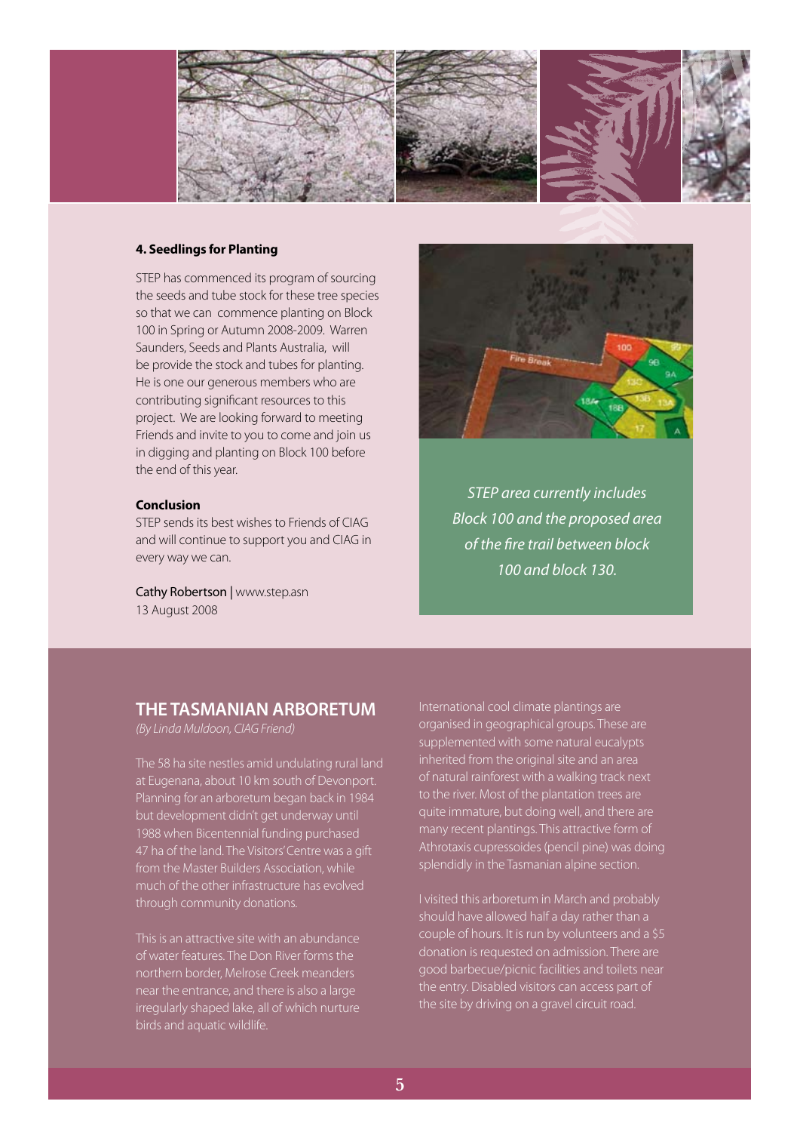

#### **4. Seedlings for Planting**

STEP has commenced its program of sourcing the seeds and tube stock for these tree species so that we can commence planting on Block 100 in Spring or Autumn 2008-2009. Warren Saunders, Seeds and Plants Australia, will be provide the stock and tubes for planting. He is one our generous members who are contributing significant resources to this project. We are looking forward to meeting Friends and invite to you to come and join us in digging and planting on Block 100 before the end of this year.

#### **Conclusion**

STEP sends its best wishes to Friends of CIAG and will continue to support you and CIAG in every way we can.

Cathy Robertson | www.step.asn 13 August 2008



*STEP area currently includes Block 100 and the proposed area of the fire trail between block 100 and block 130.*

## **THE TASMANIAN ARBORETUM**

*(By Linda Muldoon, CIAG Friend)*

The 58 ha site nestles amid undulating rural land at Eugenana, about 10 km south of Devonport. Planning for an arboretum began back in 1984 but development didn't get underway until 1988 when Bicentennial funding purchased 47 ha of the land. The Visitors' Centre was a gift from the Master Builders Association, while much of the other infrastructure has evolved through community donations.

This is an attractive site with an abundance of water features. The Don River forms the northern border, Melrose Creek meanders near the entrance, and there is also a large irregularly shaped lake, all of which nurture birds and aquatic wildlife.

International cool climate plantings are organised in geographical groups. These are supplemented with some natural eucalypts inherited from the original site and an area of natural rainforest with a walking track next to the river. Most of the plantation trees are quite immature, but doing well, and there are many recent plantings. This attractive form of Athrotaxis cupressoides (pencil pine) was doing splendidly in the Tasmanian alpine section.

I visited this arboretum in March and probably should have allowed half a day rather than a couple of hours. It is run by volunteers and a \$5 donation is requested on admission. There are good barbecue/picnic facilities and toilets near the entry. Disabled visitors can access part of the site by driving on a gravel circuit road.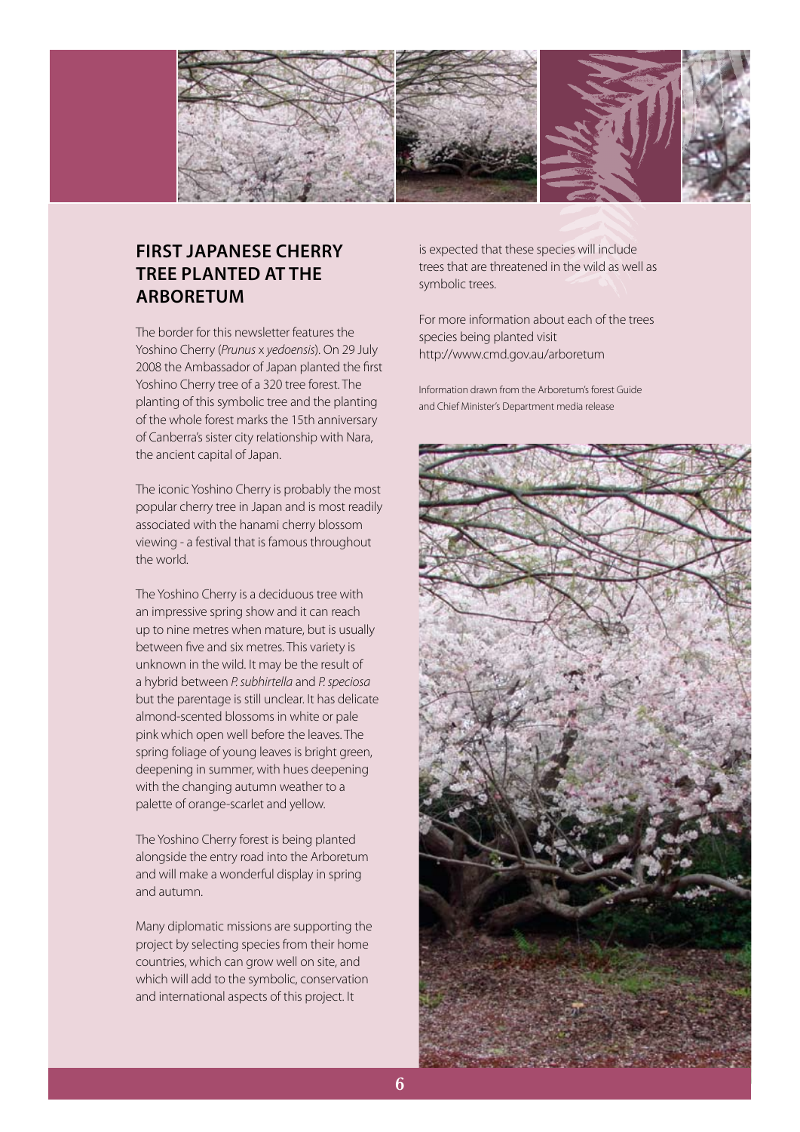

# **First Japanese cherry tree planted at the Arboretum**

The border for this newsletter features the Yoshino Cherry (*Prunus* x *yedoensis*). On 29 July 2008 the Ambassador of Japan planted the first Yoshino Cherry tree of a 320 tree forest. The planting of this symbolic tree and the planting of the whole forest marks the 15th anniversary of Canberra's sister city relationship with Nara, the ancient capital of Japan.

The iconic Yoshino Cherry is probably the most popular cherry tree in Japan and is most readily associated with the hanami cherry blossom viewing - a festival that is famous throughout the world.

The Yoshino Cherry is a deciduous tree with an impressive spring show and it can reach up to nine metres when mature, but is usually between five and six metres. This variety is unknown in the wild. It may be the result of a hybrid between *P. subhirtella* and *P. speciosa* but the parentage is still unclear. It has delicate almond-scented blossoms in white or pale pink which open well before the leaves. The spring foliage of young leaves is bright green, deepening in summer, with hues deepening with the changing autumn weather to a palette of orange-scarlet and yellow.

The Yoshino Cherry forest is being planted alongside the entry road into the Arboretum and will make a wonderful display in spring and autumn.

Many diplomatic missions are supporting the project by selecting species from their home countries, which can grow well on site, and which will add to the symbolic, conservation and international aspects of this project. It

is expected that these species will include trees that are threatened in the wild as well as symbolic trees.

For more information about each of the trees species being planted visit http://www.cmd.gov.au/arboretum

Information drawn from the Arboretum's forest Guide and Chief Minister's Department media release

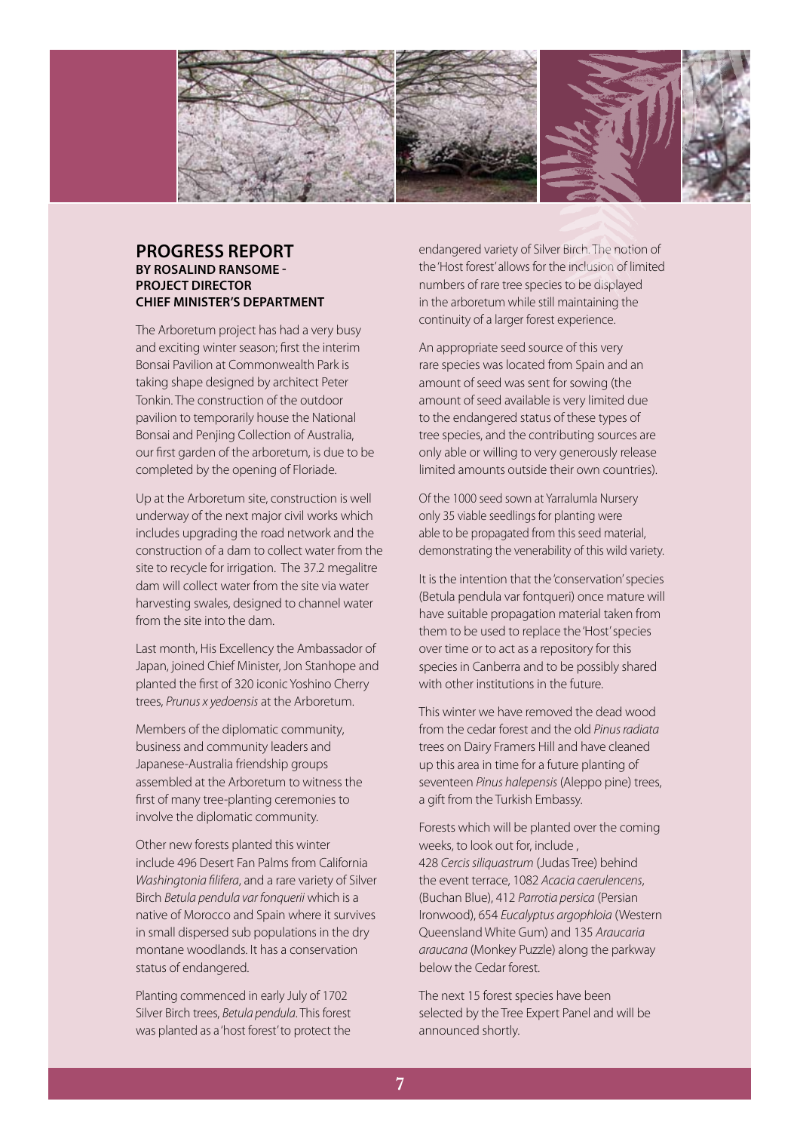

### **PROGRESS REPORT by Rosalind Ransome - Project Director Chief Minister's Department**

The Arboretum project has had a very busy and exciting winter season; first the interim Bonsai Pavilion at Commonwealth Park is taking shape designed by architect Peter Tonkin. The construction of the outdoor pavilion to temporarily house the National Bonsai and Penjing Collection of Australia, our first garden of the arboretum, is due to be completed by the opening of Floriade.

Up at the Arboretum site, construction is well underway of the next major civil works which includes upgrading the road network and the construction of a dam to collect water from the site to recycle for irrigation. The 37.2 megalitre dam will collect water from the site via water harvesting swales, designed to channel water from the site into the dam.

Last month, His Excellency the Ambassador of Japan, joined Chief Minister, Jon Stanhope and planted the first of 320 iconic Yoshino Cherry trees, *Prunus x yedoensis* at the Arboretum.

Members of the diplomatic community, business and community leaders and Japanese-Australia friendship groups assembled at the Arboretum to witness the first of many tree-planting ceremonies to involve the diplomatic community.

Other new forests planted this winter include 496 Desert Fan Palms from California *Washingtonia filifera*, and a rare variety of Silver Birch *Betula pendula var fonquerii* which is a native of Morocco and Spain where it survives in small dispersed sub populations in the dry montane woodlands. It has a conservation status of endangered.

Planting commenced in early July of 1702 Silver Birch trees, *Betula pendula*. This forest was planted as a 'host forest' to protect the

endangered variety of Silver Birch. The notion of the 'Host forest' allows for the inclusion of limited numbers of rare tree species to be displayed in the arboretum while still maintaining the continuity of a larger forest experience.

An appropriate seed source of this very rare species was located from Spain and an amount of seed was sent for sowing (the amount of seed available is very limited due to the endangered status of these types of tree species, and the contributing sources are only able or willing to very generously release limited amounts outside their own countries).

Of the 1000 seed sown at Yarralumla Nursery only 35 viable seedlings for planting were able to be propagated from this seed material, demonstrating the venerability of this wild variety.

It is the intention that the 'conservation' species (Betula pendula var fontqueri) once mature will have suitable propagation material taken from them to be used to replace the 'Host' species over time or to act as a repository for this species in Canberra and to be possibly shared with other institutions in the future.

This winter we have removed the dead wood from the cedar forest and the old *Pinus radiata* trees on Dairy Framers Hill and have cleaned up this area in time for a future planting of seventeen *Pinus halepensis* (Aleppo pine) trees, a gift from the Turkish Embassy.

Forests which will be planted over the coming weeks, to look out for, include , 428 *Cercis siliquastrum* (Judas Tree) behind the event terrace, 1082 *Acacia caerulencens*, (Buchan Blue), 412 *Parrotia persica* (Persian Ironwood), 654 *Eucalyptus argophloia* (Western Queensland White Gum) and 135 *Araucaria araucana* (Monkey Puzzle) along the parkway below the Cedar forest.

The next 15 forest species have been selected by the Tree Expert Panel and will be announced shortly.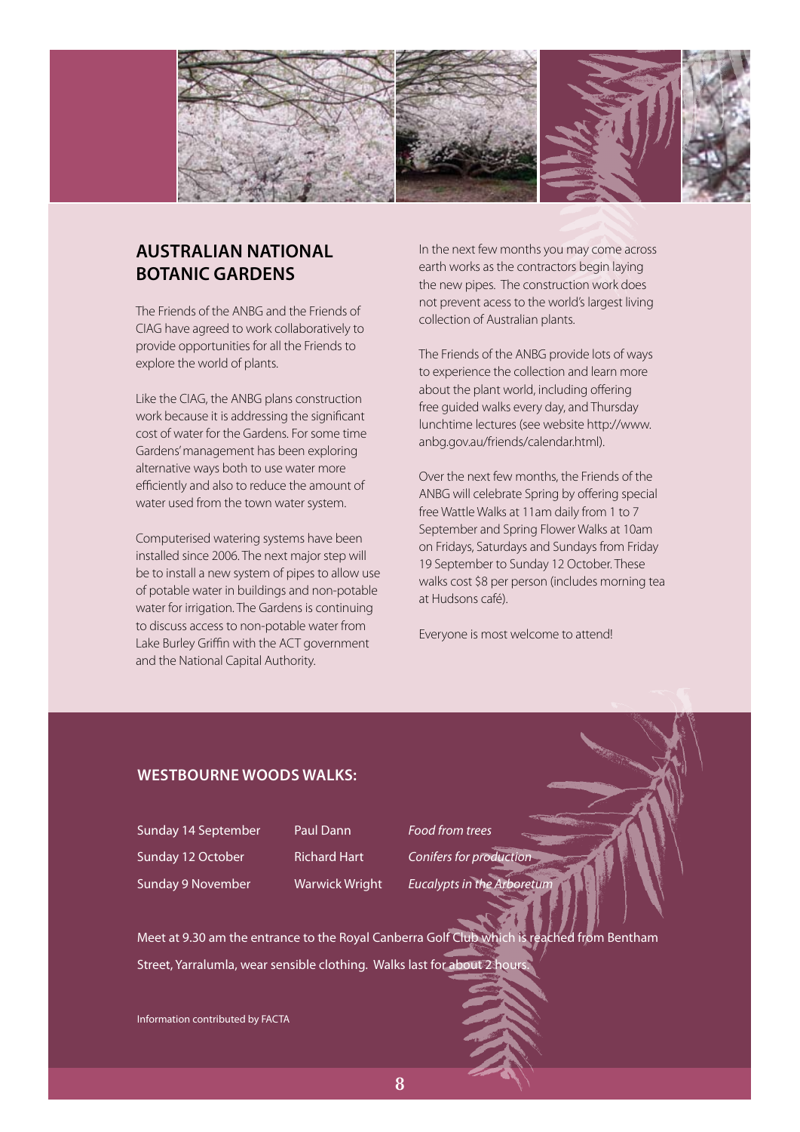

# **Australian National Botanic Gardens**

The Friends of the ANBG and the Friends of CIAG have agreed to work collaboratively to provide opportunities for all the Friends to explore the world of plants.

Like the CIAG, the ANBG plans construction work because it is addressing the significant cost of water for the Gardens. For some time Gardens' management has been exploring alternative ways both to use water more efficiently and also to reduce the amount of water used from the town water system.

Computerised watering systems have been installed since 2006. The next major step will be to install a new system of pipes to allow use of potable water in buildings and non-potable water for irrigation. The Gardens is continuing to discuss access to non-potable water from Lake Burley Griffin with the ACT government and the National Capital Authority.

In the next few months you may come across earth works as the contractors begin laying the new pipes. The construction work does not prevent acess to the world's largest living collection of Australian plants.

The Friends of the ANBG provide lots of ways to experience the collection and learn more about the plant world, including offering free guided walks every day, and Thursday lunchtime lectures (see website http://www. anbg.gov.au/friends/calendar.html).

Over the next few months, the Friends of the ANBG will celebrate Spring by offering special free Wattle Walks at 11am daily from 1 to 7 September and Spring Flower Walks at 10am on Fridays, Saturdays and Sundays from Friday 19 September to Sunday 12 October. These walks cost \$8 per person (includes morning tea at Hudsons café).

Everyone is most welcome to attend!

## **Westbourne Woods walks:**

Sunday 14 September Paul Dann *Food from trees*

Sunday 12 October **Richard Hart** *Conifers for production* Sunday 9 November Warwick Wright *Eucalypts in the Arboretum*

Meet at 9.30 am the entrance to the Royal Canberra Golf Club which is reached from Bentham Street, Yarralumla, wear sensible clothing. Walks last for about 2 hours.

Information contributed by FACTA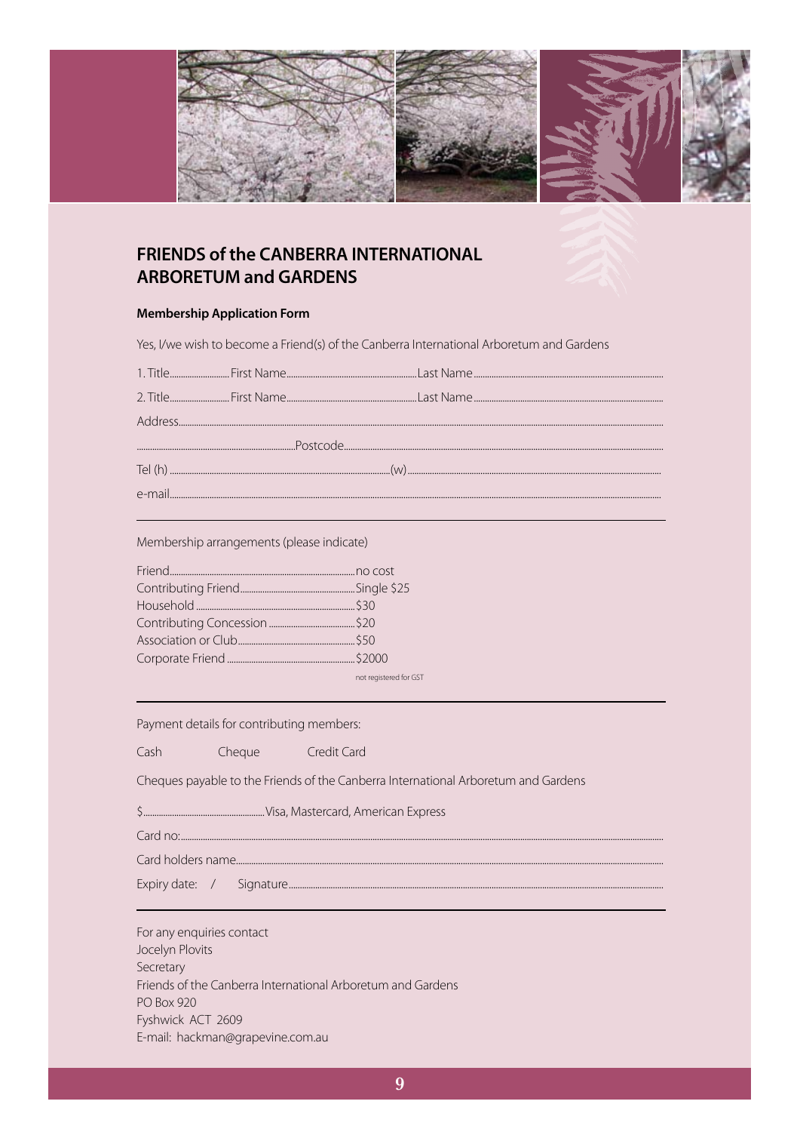

## **FRIENDS of the CANBERRA INTERNATIONAL ARBORETUM and GARDENS**

#### **Membership Application Form**

Yes, I/we wish to become a Friend(s) of the Canberra International Arboretum and Gardens

Membership arrangements (please indicate)

| not registered for GST |
|------------------------|

Payment details for contributing members:

Credit Card Cash Cheque

Cheques payable to the Friends of the Canberra International Arboretum and Gardens

 $Card no$ 

Card holders name....

For any enquiries contact Jocelyn Plovits Secretary Friends of the Canberra International Arboretum and Gardens **PO Box 920** Fyshwick ACT 2609 E-mail: hackman@grapevine.com.au